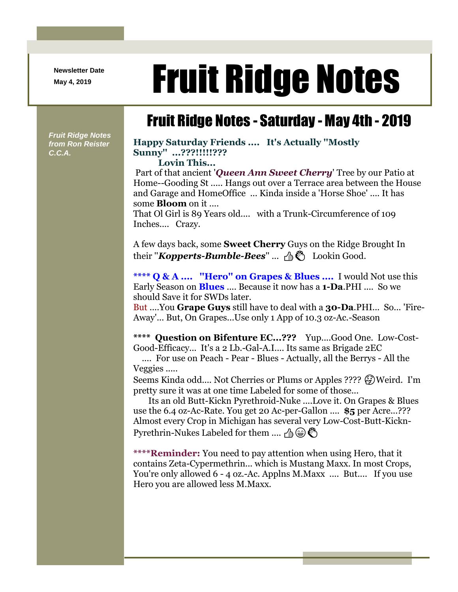**Newsletter Date**

# Newsletter Date **Fruit Ridge Notes**

## Fruit Ridge Notes - Saturday - May 4th - 2019

*Fruit Ridge Notes from Ron Reister C.C.A.*

### **Happy Saturday Friends .... It's Actually ''Mostly Sunny'' ...???!!!!!???**

**Lovin This...**

Part of that ancient '*Queen Ann Sweet Cherry*' Tree by our Patio at Home--Gooding St ..... Hangs out over a Terrace area between the House and Garage and HomeOffice ... Kinda inside a 'Horse Shoe' .... It has some **Bloom** on it ....

That Ol Girl is 89 Years old.... with a Trunk-Circumference of 109 Inches.... Crazy.

A few days back, some **Sweet Cherry** Guys on the Ridge Brought In their "*Kopperts-Bumble-Bees*" ...  $\mathcal{A}$  **E** Lookin Good.

**\*\*\*\* Q & A .... ''Hero'' on Grapes & Blues ....** I would Not use this Early Season on **Blues** .... Because it now has a **1-Da**.PHI .... So we should Save it for SWDs later.

But ....You **Grape Guys** still have to deal with a **30-Da**.PHI... So... 'Fire-Away'... But, On Grapes...Use only 1 App of 10.3 oz-Ac.-Season

**\*\*\*\* Question on Bifenture EC...???** Yup....Good One. Low-Cost-Good-Efficacy... It's a 2 Lb.-Gal-A.I.... Its same as Brigade 2EC

.... For use on Peach - Pear - Blues - Actually, all the Berrys - All the Veggies .....

Seems Kinda odd.... Not Cherries or Plums or Apples ????  $\mathcal{F}$ ) Weird. I'm pretty sure it was at one time Labeled for some of those...

Its an old Butt-Kickn Pyrethroid-Nuke ....Love it. On Grapes & Blues use the 6.4 oz-Ac-Rate. You get 20 Ac-per-Gallon .... **\$5** per Acre...??? Almost every Crop in Michigan has several very Low-Cost-Butt-Kickn-Pyrethrin-Nukes Labeled for them .... A  $\circledast\circledast$ 

**\*\*\*\*Reminder:** You need to pay attention when using Hero, that it contains Zeta-Cypermethrin... which is Mustang Maxx. In most Crops, You're only allowed 6 - 4 oz.-Ac. Applns M.Maxx .... But.... If you use Hero you are allowed less M.Maxx.